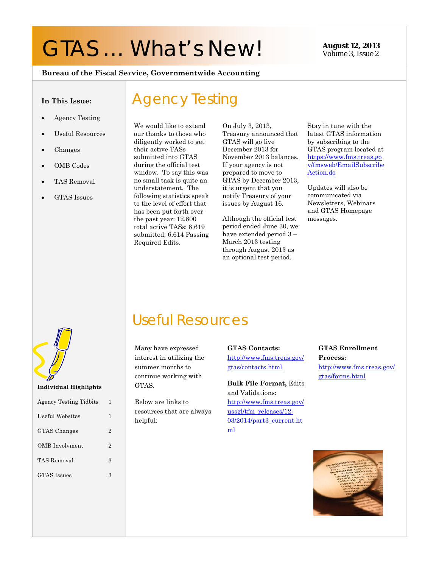# GTAS ... What's New! **August 12, 2013**

Volume 3, Issue 2

#### **Bureau of the Fiscal Service, Governmentwide Accounting**

#### **In This Issue:**

- Agency Testing
- Useful Resources
- Changes
- OMB Codes
- TAS Removal
- GTAS Issues

We would like to extend our thanks to those who diligently worked to get their active TASs submitted into GTAS during the official test window. To say this was no small task is quite an understatement. The following statistics speak to the level of effort that has been put forth over the past year: 12,800 total active TASs; 8,619 submitted; 6,614 Passing Required Edits.

Agency Testing

On July 3, 2013, Treasury announced that GTAS will go live December 2013 for November 2013 balances. If your agency is not prepared to move to GTAS by December 2013, it is urgent that you notify Treasury of your issues by August 16.

Although the official test period ended June 30, we have extended period 3 – March 2013 testing through August 2013 as an optional test period.

Stay in tune with the latest GTAS information by subscribing to the GTAS program located at https://www.fms.treas.go v/fmsweb/EmailSubscribe Action.do

Updates will also be communicated via Newsletters, Webinars and GTAS Homepage messages.

**Individual Highlights** 

| <b>Agency Testing Tidbits</b> | 1                           |
|-------------------------------|-----------------------------|
| Useful Websites               | 1                           |
| <b>GTAS</b> Changes           | $\overline{2}$              |
| OMB Involvment                | $\mathcal{D}_{\mathcal{L}}$ |
| TAS Removal                   | 3                           |
| <b>GTAS</b> Issues            | 3                           |
|                               |                             |
|                               |                             |

Many have expressed interest in utilizing the summer months to continue working with GTAS.

Useful Resources

Below are links to resources that are always helpful:

#### **GTAS Contacts:**

http://www.fms.treas.gov/ gtas/contacts.html

**Bulk File Format,** Edits and Validations: http://www.fms.treas.gov/ ussgl/tfm\_releases/12- 03/2014/part3\_current.ht ml

**GTAS Enrollment Process:** http://www.fms.treas.gov/ gtas/forms.html

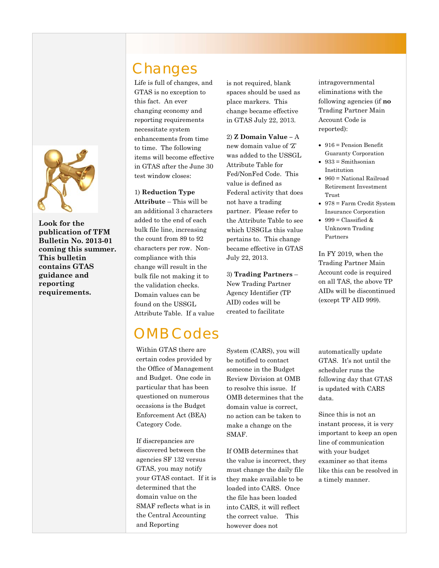

**Look for the publication of TFM Bulletin No. 2013-01 coming this summer. This bulletin contains GTAS guidance and reporting requirements.** 

## Changes

Life is full of changes, and GTAS is no exception to this fact. An ever changing economy and reporting requirements necessitate system enhancements from time to time. The following items will become effective in GTAS after the June 30 test window closes:

### 1) **Reduction Type**

**Attribute** – This will be an additional 3 characters added to the end of each bulk file line, increasing the count from 89 to 92 characters per row. Noncompliance with this change will result in the bulk file not making it to the validation checks. Domain values can be found on the USSGL Attribute Table. If a value

## OMB Codes

certain codes provided by Within GTAS there are the Office of Management and Budget. One code in particular that has been questioned on numerous occasions is the Budget Enforcement Act (BEA) Category Code.

If discrepancies are discovered between the agencies SF 132 versus GTAS, you may notify your GTAS contact. If it is determined that the domain value on the SMAF reflects what is in the Central Accounting and Reporting

is not required, blank spaces should be used as place markers. This change became effective in GTAS July 22, 2013.

2) **Z Domain Value –** A new domain value of 'Z' was added to the USSGL Attribute Table for Fed/NonFed Code. This value is defined as Federal activity that does not have a trading partner. Please refer to the Attribute Table to see which USSGLs this value pertains to. This change became effective in GTAS July 22, 2013.

3) **Trading Partners** – New Trading Partner Agency Identifier (TP AID) codes will be created to facilitate

System (CARS), you will be notified to contact someone in the Budget Review Division at OMB to resolve this issue. If OMB determines that the domain value is correct, no action can be taken to make a change on the SMAF.

If OMB determines that the value is incorrect, they must change the daily file they make available to be loaded into CARS. Once the file has been loaded into CARS, it will reflect the correct value. This however does not

intragovernmental eliminations with the following agencies (if **no** Trading Partner Main Account Code is reported):

- 916 = Pension Benefit Guaranty Corporation
- $\bullet$  933 = Smithsonian Institution
- 960 = National Railroad Retirement Investment Trust
- 978 = Farm Credit System Insurance Corporation
- $\bullet$  999 = Classified & Unknown Trading Partners

In FY 2019, when the Trading Partner Main Account code is required on all TAS, the above TP AIDs will be discontinued (except TP AID 999).

automatically update GTAS. It's not until the scheduler runs the following day that GTAS is updated with CARS data.

Since this is not an instant process, it is very important to keep an open line of communication with your budget examiner so that items like this can be resolved in a timely manner.